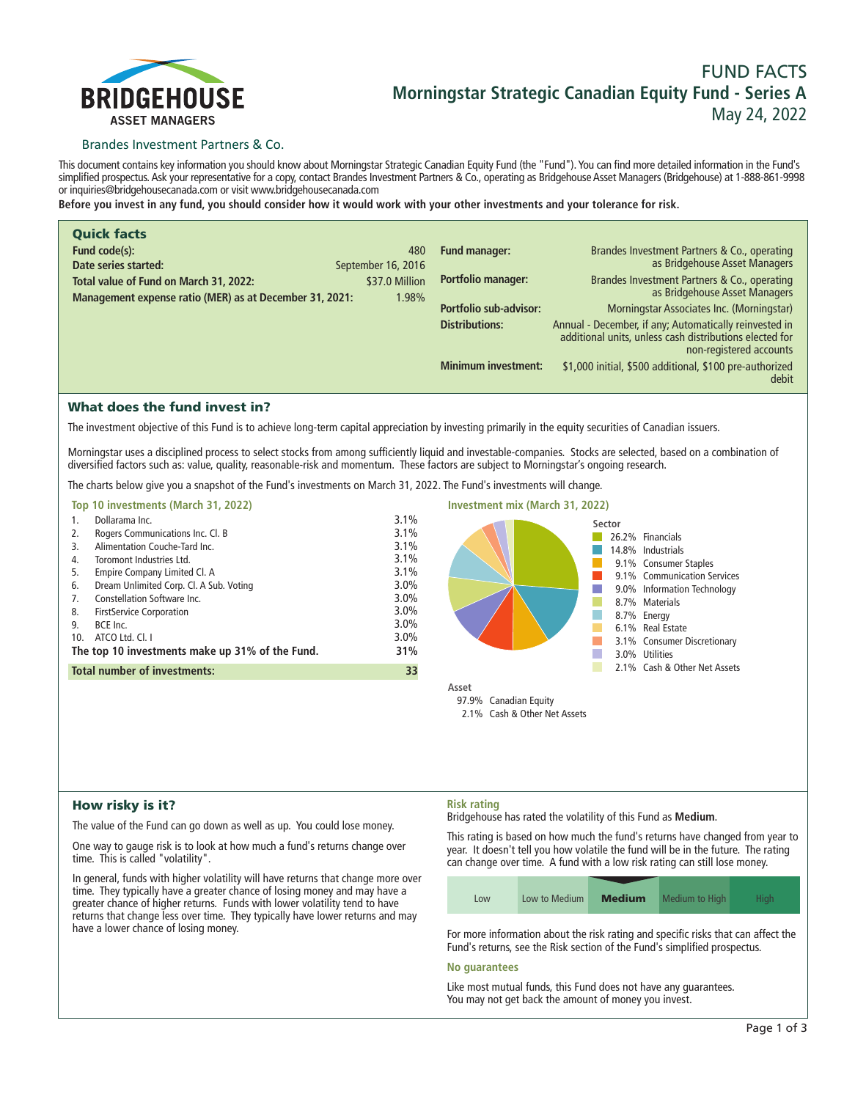

# **FUND FACTS Morningstar Strategic Canadian Equity Fund - Series A May 24, 2022**

# Brandes Investment Partners & Co.

**This document contains key information you should know about Morningstar Strategic Canadian Equity Fund (the "Fund"). You can find more detailed information in the Fund's simplified prospectus. Ask your representative for a copy, contact Brandes Investment Partners & Co., operating as Bridgehouse Asset Managers (Bridgehouse) at 1-888-861-9998 or inquiries@bridgehousecanada.com or visit www.bridgehousecanada.com**

**Before you invest in any fund, you should consider how it would work with your other investments and your tolerance for risk.**

| <b>Quick facts</b>                                      |                    |                            |                                                                                                                                              |
|---------------------------------------------------------|--------------------|----------------------------|----------------------------------------------------------------------------------------------------------------------------------------------|
| Fund code(s):                                           | 480                | <b>Fund manager:</b>       | Brandes Investment Partners & Co., operating                                                                                                 |
| Date series started:                                    | September 16, 2016 |                            | as Bridgehouse Asset Managers                                                                                                                |
| Total value of Fund on March 31, 2022:                  | \$37.0 Million     | Portfolio manager:         | Brandes Investment Partners & Co., operating<br>as Bridgehouse Asset Managers                                                                |
| Management expense ratio (MER) as at December 31, 2021: | 1.98%              |                            |                                                                                                                                              |
|                                                         |                    | Portfolio sub-advisor:     | Morningstar Associates Inc. (Morningstar)                                                                                                    |
|                                                         |                    | <b>Distributions:</b>      | Annual - December, if any; Automatically reinvested in<br>additional units, unless cash distributions elected for<br>non-registered accounts |
|                                                         |                    | <b>Minimum investment:</b> | \$1,000 initial, \$500 additional, \$100 pre-authorized<br>debit                                                                             |

# What does the fund invest in?

**The investment objective of this Fund is to achieve long-term capital appreciation by investing primarily in the equity securities of Canadian issuers.**

**Morningstar uses a disciplined process to select stocks from among sufficiently liquid and investable-companies. Stocks are selected, based on a combination of diversified factors such as: value, quality, reasonable-risk and momentum. These factors are subject to Morningstar's ongoing research.**

**The charts below give you a snapshot of the Fund's investments on March 31, 2022. The Fund's investments will change.**

| Top 10 investments (March 31, 2022)                                                                                                                                                                                                                                                                                                                                                                                                          |                                                                                                 | <b>Investment mix (March 31, 2022)</b>                                                                                                                                                                                                                                       |
|----------------------------------------------------------------------------------------------------------------------------------------------------------------------------------------------------------------------------------------------------------------------------------------------------------------------------------------------------------------------------------------------------------------------------------------------|-------------------------------------------------------------------------------------------------|------------------------------------------------------------------------------------------------------------------------------------------------------------------------------------------------------------------------------------------------------------------------------|
| Dollarama Inc.<br>Rogers Communications Inc. Cl. B<br>2.<br>Alimentation Couche-Tard Inc.<br>3.<br>Toromont Industries Ltd.<br>4.<br>Empire Company Limited Cl. A<br>5.<br>Dream Unlimited Corp. Cl. A Sub. Voting<br>6.<br>Constellation Software Inc.<br>7.<br><b>FirstService Corporation</b><br>8.<br>BCE Inc.<br>9.<br>ATCO Ltd. Cl. I<br>10.<br>The top 10 investments make up 31% of the Fund.<br><b>Total number of investments:</b> | 3.1%<br>3.1%<br>3.1%<br>3.1%<br>3.1%<br>3.0%<br>$3.0\%$<br>$3.0\%$<br>3.0%<br>3.0%<br>31%<br>33 | Sector<br>26.2% Financials<br>14.8% Industrials<br>9.1% Consumer Staples<br>9.1% Communication Services<br>9.0% Information Technology<br>8.7% Materials<br>8.7% Energy<br>6.1% Real Estate<br>3.1% Consumer Discretionary<br>3.0% Utilities<br>2.1% Cash & Other Net Assets |
|                                                                                                                                                                                                                                                                                                                                                                                                                                              |                                                                                                 | Asset<br>97.9% Canadian Equity<br>2.1% Cash & Other Net Assets                                                                                                                                                                                                               |

# How risky is it?

**The value of the Fund can go down as well as up. You could lose money.**

**One way to gauge risk is to look at how much a fund's returns change over time. This is called "volatility".**

**In general, funds with higher volatility will have returns that change more over time. They typically have a greater chance of losing money and may have a greater chance of higher returns. Funds with lower volatility tend to have returns that change less over time. They typically have lower returns and may have a lower chance of losing money.**

# **Risk rating**

**Bridgehouse has rated the volatility of this Fund as Medium.**

**This rating is based on how much the fund's returns have changed from year to year. It doesn't tell you how volatile the fund will be in the future. The rating can change over time. A fund with a low risk rating can still lose money.**

| Low | Low to Medium | <b>Medium</b> | Medium to High | Hiah |
|-----|---------------|---------------|----------------|------|

**For more information about the risk rating and specific risks that can affect the Fund's returns, see the Risk section of the Fund's simplified prospectus.**

#### **No guarantees**

**Like most mutual funds, this Fund does not have any guarantees. You may not get back the amount of money you invest.**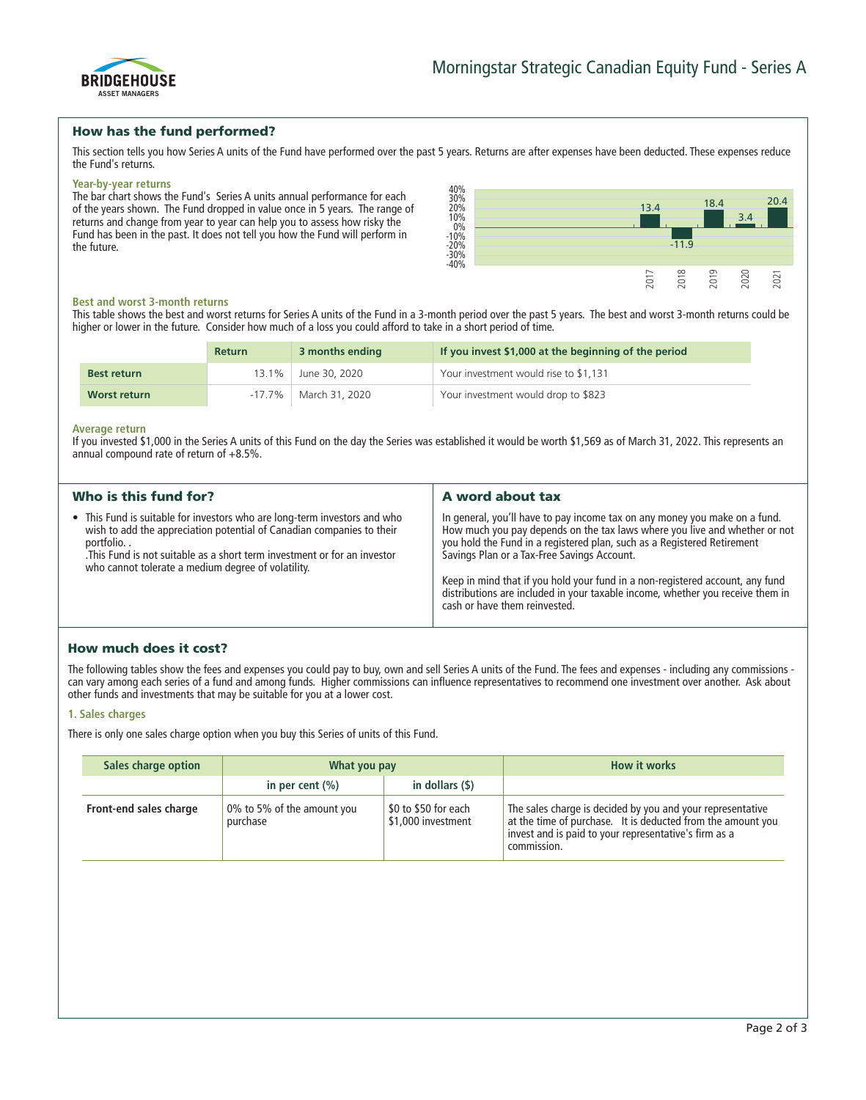

# How has the fund performed?

**This section tells you how Series A units of the Fund have performed over the past 5 years. Returns are after expenses have been deducted. These expenses reduce the Fund's returns.**

#### **Year-by-year returns**

**The bar chart shows the Fund's Series A units annual performance for each of the years shown. The Fund dropped in value once in 5 years. The range of returns and change from year to year can help you to assess how risky the Fund has been in the past. It does not tell you how the Fund will perform in the future.**



#### **Best and worst 3-month returns**

**This table shows the best and worst returns for Series A units of the Fund in a 3-month period over the past 5 years. The best and worst 3-month returns could be higher or lower in the future. Consider how much of a loss you could afford to take in a short period of time.**

|                    | <b>Return</b> | 3 months ending | If you invest \$1,000 at the beginning of the period |
|--------------------|---------------|-----------------|------------------------------------------------------|
| <b>Best return</b> | $13.1\%$      | June 30, 2020   | Your investment would rise to \$1,131                |
| Worst return       | $-17.7\%$     | March 31, 2020  | Your investment would drop to \$823                  |

#### **Average return**

**If you invested \$1,000 in the Series A units of this Fund on the day the Series was established it would be worth \$1,569 as of March 31, 2022. This represents an annual compound rate of return of +8.5%.**

| Who is this fund for?                                                                                                                                                                                                                                                                            | A word about tax                                                                                                                                                                                                                                                                                                                                                                                                                                                                       |
|--------------------------------------------------------------------------------------------------------------------------------------------------------------------------------------------------------------------------------------------------------------------------------------------------|----------------------------------------------------------------------------------------------------------------------------------------------------------------------------------------------------------------------------------------------------------------------------------------------------------------------------------------------------------------------------------------------------------------------------------------------------------------------------------------|
| • This Fund is suitable for investors who are long-term investors and who<br>wish to add the appreciation potential of Canadian companies to their<br>portfolio<br>This Fund is not suitable as a short term investment or for an investor<br>who cannot tolerate a medium degree of volatility. | In general, you'll have to pay income tax on any money you make on a fund.<br>How much you pay depends on the tax laws where you live and whether or not<br>you hold the Fund in a registered plan, such as a Registered Retirement<br>Savings Plan or a Tax-Free Savings Account.<br>Keep in mind that if you hold your fund in a non-registered account, any fund<br>distributions are included in your taxable income, whether you receive them in<br>cash or have them reinvested. |

# How much does it cost?

**The following tables show the fees and expenses you could pay to buy, own and sell Series A units of the Fund. The fees and expenses - including any commissions can vary among each series of a fund and among funds. Higher commissions can influence representatives to recommend one investment over another. Ask about other funds and investments that may be suitable for you at a lower cost.**

# **1. Sales charges**

**There is only one sales charge option when you buy this Series of units of this Fund.**

| Sales charge option    | What you pay                           |                                            | <b>How it works</b>                                                                                                                                                                               |
|------------------------|----------------------------------------|--------------------------------------------|---------------------------------------------------------------------------------------------------------------------------------------------------------------------------------------------------|
|                        | in per cent $(\% )$                    | in dollars (\$)                            |                                                                                                                                                                                                   |
| Front-end sales charge | 0% to 5% of the amount you<br>purchase | \$0 to \$50 for each<br>\$1,000 investment | The sales charge is decided by you and your representative<br>at the time of purchase. It is deducted from the amount you<br>invest and is paid to your representative's firm as a<br>commission. |